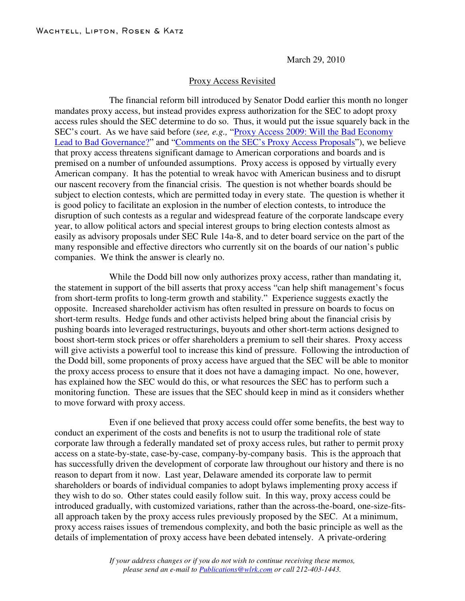March 29, 2010

## Proxy Access Revisited

The financial reform bill introduced by Senator Dodd earlier this month no longer mandates proxy access, but instead provides express authorization for the SEC to adopt proxy access rules should the SEC determine to do so. Thus, it would put the issue squarely back in the SEC's court. As we have said before (*see, e.g.,* "Proxy Access 2009: Will the Bad [Economy](http://www.wlrk.com/webdocs/wlrknew/WLRKMemos/WLRK/WLRK.16703.09.pdf) Lead to Bad [Governance?"](http://www.wlrk.com/webdocs/wlrknew/WLRKMemos/WLRK/WLRK.16703.09.pdf) and ["Comments](http://www.wlrk.com/webdocs/wlrknew/WLRKMemos/WLRK/WLRK.16917.09.pdf) on the SEC's Proxy Access Proposals"), we believe that proxy access threatens significant damage to American corporations and boards and is premised on a number of unfounded assumptions. Proxy access is opposed by virtually every American company. It has the potential to wreak havoc with American business and to disrupt our nascent recovery from the financial crisis. The question is not whether boards should be subject to election contests, which are permitted today in every state. The question is whether it is good policy to facilitate an explosion in the number of election contests, to introduce the disruption of such contests as a regular and widespread feature of the corporate landscape every year, to allow political actors and special interest groups to bring election contests almost as easily as advisory proposals under SEC Rule 14a-8, and to deter board service on the part of the many responsible and effective directors who currently sit on the boards of our nation's public companies. We think the answer is clearly no.

While the Dodd bill now only authorizes proxy access, rather than mandating it, the statement in support of the bill asserts that proxy access "can help shift management's focus from short-term profits to long-term growth and stability." Experience suggests exactly the opposite. Increased shareholder activism has often resulted in pressure on boards to focus on short-term results. Hedge funds and other activists helped bring about the financial crisis by pushing boards into leveraged restructurings, buyouts and other short-term actions designed to boost short-term stock prices or offer shareholders a premium to sell their shares. Proxy access will give activists a powerful tool to increase this kind of pressure. Following the introduction of the Dodd bill, some proponents of proxy access have argued that the SEC will be able to monitor the proxy access process to ensure that it does not have a damaging impact. No one, however, has explained how the SEC would do this, or what resources the SEC has to perform such a monitoring function. These are issues that the SEC should keep in mind as it considers whether to move forward with proxy access.

Even if one believed that proxy access could offer some benefits, the best way to conduct an experiment of the costs and benefits is not to usurp the traditional role of state corporate law through a federally mandated set of proxy access rules, but rather to permit proxy access on a state-by-state, case-by-case, company-by-company basis. This is the approach that has successfully driven the development of corporate law throughout our history and there is no reason to depart from it now. Last year, Delaware amended its corporate law to permit shareholders or boards of individual companies to adopt bylaws implementing proxy access if they wish to do so. Other states could easily follow suit. In this way, proxy access could be introduced gradually, with customized variations, rather than the across-the-board, one-size-fitsall approach taken by the proxy access rules previously proposed by the SEC. At a minimum, proxy access raises issues of tremendous complexity, and both the basic principle as well as the details of implementation of proxy access have been debated intensely. A private-ordering

> *If your address changes or if you do not wish to continue receiving these memos, please send an e-mail to Publications@wlrk.com or call 212-403-1443.*